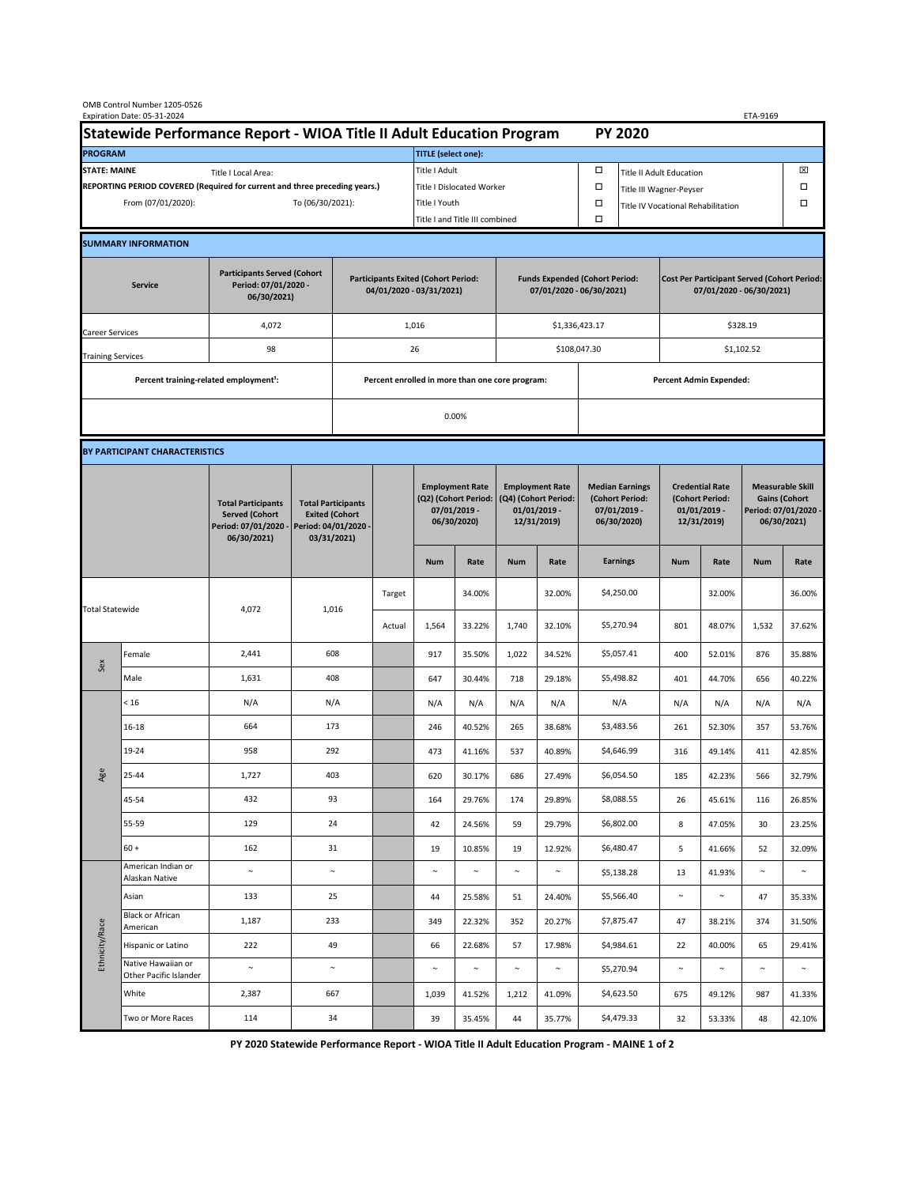|                                                                                             | OMB Control Number 1205-0526<br>Expiration Date: 05-31-2024 |                                                                                           |                                                                                           |                                                                        |        |                                                                               |                                |                                                                                 |                                |                                                                            |                                    |                                                                                |            | ETA-9169                                                                               |        |  |
|---------------------------------------------------------------------------------------------|-------------------------------------------------------------|-------------------------------------------------------------------------------------------|-------------------------------------------------------------------------------------------|------------------------------------------------------------------------|--------|-------------------------------------------------------------------------------|--------------------------------|---------------------------------------------------------------------------------|--------------------------------|----------------------------------------------------------------------------|------------------------------------|--------------------------------------------------------------------------------|------------|----------------------------------------------------------------------------------------|--------|--|
| Statewide Performance Report - WIOA Title II Adult Education Program                        |                                                             |                                                                                           |                                                                                           |                                                                        |        |                                                                               |                                |                                                                                 |                                |                                                                            | <b>PY 2020</b>                     |                                                                                |            |                                                                                        |        |  |
| <b>PROGRAM</b>                                                                              |                                                             |                                                                                           |                                                                                           |                                                                        |        | <b>TITLE</b> (select one):                                                    |                                |                                                                                 |                                |                                                                            |                                    |                                                                                |            |                                                                                        |        |  |
| <b>STATE: MAINE</b><br>Title I Local Area:                                                  |                                                             |                                                                                           |                                                                                           |                                                                        |        | Title I Adult                                                                 |                                |                                                                                 |                                | □<br><b>Title II Adult Education</b>                                       |                                    |                                                                                |            |                                                                                        | ⊠      |  |
| REPORTING PERIOD COVERED (Required for current and three preceding years.)                  |                                                             |                                                                                           |                                                                                           |                                                                        |        | <b>Title I Dislocated Worker</b>                                              |                                |                                                                                 | Ω                              | Title III Wagner-Peyser                                                    |                                    |                                                                                |            | □                                                                                      |        |  |
| From (07/01/2020):                                                                          |                                                             |                                                                                           |                                                                                           | To (06/30/2021):                                                       |        |                                                                               | Title I Youth                  |                                                                                 |                                | $\Box$                                                                     | Title IV Vocational Rehabilitation |                                                                                |            |                                                                                        | □      |  |
|                                                                                             |                                                             |                                                                                           |                                                                                           |                                                                        |        |                                                                               | Title I and Title III combined |                                                                                 |                                | Ω                                                                          |                                    |                                                                                |            |                                                                                        |        |  |
|                                                                                             | <b>SUMMARY INFORMATION</b>                                  |                                                                                           |                                                                                           |                                                                        |        |                                                                               |                                |                                                                                 |                                |                                                                            |                                    |                                                                                |            |                                                                                        |        |  |
| <b>Participants Served (Cohort</b><br>Period: 07/01/2020 -<br><b>Service</b><br>06/30/2021) |                                                             |                                                                                           |                                                                                           | <b>Participants Exited (Cohort Period:</b><br>04/01/2020 - 03/31/2021) |        |                                                                               |                                | <b>Funds Expended (Cohort Period:</b><br>07/01/2020 - 06/30/2021)               |                                |                                                                            |                                    | <b>Cost Per Participant Served (Cohort Period:</b><br>07/01/2020 - 06/30/2021) |            |                                                                                        |        |  |
| Career Services                                                                             |                                                             | 4,072                                                                                     |                                                                                           |                                                                        |        | 1,016                                                                         |                                |                                                                                 |                                | \$1,336,423.17                                                             |                                    | \$328.19                                                                       |            |                                                                                        |        |  |
| <b>Training Services</b>                                                                    |                                                             | 98                                                                                        |                                                                                           | 26                                                                     |        |                                                                               |                                |                                                                                 |                                |                                                                            | \$108,047.30                       |                                                                                | \$1,102.52 |                                                                                        |        |  |
|                                                                                             | Percent training-related employment <sup>1</sup> :          |                                                                                           | Percent enrolled in more than one core program:                                           |                                                                        |        |                                                                               |                                |                                                                                 | <b>Percent Admin Expended:</b> |                                                                            |                                    |                                                                                |            |                                                                                        |        |  |
|                                                                                             |                                                             |                                                                                           |                                                                                           |                                                                        |        |                                                                               | 0.00%                          |                                                                                 |                                |                                                                            |                                    |                                                                                |            |                                                                                        |        |  |
|                                                                                             |                                                             |                                                                                           |                                                                                           |                                                                        |        |                                                                               |                                |                                                                                 |                                |                                                                            |                                    |                                                                                |            |                                                                                        |        |  |
|                                                                                             | BY PARTICIPANT CHARACTERISTICS                              |                                                                                           |                                                                                           |                                                                        |        |                                                                               |                                |                                                                                 |                                |                                                                            |                                    |                                                                                |            |                                                                                        |        |  |
|                                                                                             |                                                             | <b>Total Participants</b><br><b>Served (Cohort</b><br>Period: 07/01/2020 -<br>06/30/2021) | <b>Total Participants</b><br><b>Exited (Cohort</b><br>Period: 04/01/2020 -<br>03/31/2021) |                                                                        |        | <b>Employment Rate</b><br>(Q2) (Cohort Period:<br>07/01/2019 -<br>06/30/2020) |                                | <b>Employment Rate</b><br>(Q4) (Cohort Period:<br>$01/01/2019$ -<br>12/31/2019) |                                | <b>Median Earnings</b><br>(Cohort Period:<br>$07/01/2019 -$<br>06/30/2020) |                                    | <b>Credential Rate</b><br>(Cohort Period:<br>$01/01/2019$ -<br>12/31/2019)     |            | <b>Measurable Skill</b><br><b>Gains (Cohort</b><br>Period: 07/01/2020 -<br>06/30/2021) |        |  |
|                                                                                             |                                                             |                                                                                           |                                                                                           |                                                                        |        | <b>Num</b>                                                                    | Rate                           | <b>Num</b>                                                                      | Rate                           |                                                                            | <b>Earnings</b>                    | <b>Num</b>                                                                     | Rate       | <b>Num</b>                                                                             | Rate   |  |
| <b>Total Statewide</b>                                                                      |                                                             | 4,072                                                                                     | 1,016                                                                                     |                                                                        | Target |                                                                               | 34.00%                         |                                                                                 | 32.00%                         |                                                                            | \$4,250.00                         |                                                                                | 32.00%     |                                                                                        | 36.00% |  |
|                                                                                             |                                                             |                                                                                           |                                                                                           |                                                                        | Actual | 1,564                                                                         | 33.22%                         | 1,740                                                                           | 32.10%                         |                                                                            | \$5,270.94                         | 801                                                                            | 48.07%     | 1,532                                                                                  | 37.62% |  |
| Sex                                                                                         | Female                                                      | 2,441                                                                                     | 608                                                                                       |                                                                        |        | 917                                                                           | 35.50%                         | 1,022                                                                           | 34.52%                         |                                                                            | \$5,057.41                         | 400                                                                            | 52.01%     | 876                                                                                    | 35.88% |  |
|                                                                                             | Male                                                        | 1,631                                                                                     | 408                                                                                       |                                                                        |        | 647                                                                           | 30.44%                         | 718                                                                             | 29.18%                         |                                                                            | \$5,498.82                         | 401                                                                            | 44.70%     | 656                                                                                    | 40.22% |  |
| Age                                                                                         | < 16                                                        | N/A                                                                                       | N/A                                                                                       |                                                                        |        | N/A                                                                           | N/A                            | N/A                                                                             | N/A                            |                                                                            | N/A                                | N/A                                                                            | N/A        | N/A                                                                                    | N/A    |  |
|                                                                                             | $16 - 18$                                                   | 664                                                                                       | 173                                                                                       |                                                                        |        | 246                                                                           | 40.52%                         | 265                                                                             | 38.68%                         |                                                                            | \$3,483.56                         | 261                                                                            | 52.30%     | 357                                                                                    | 53.76% |  |
|                                                                                             | 19-24                                                       | 958                                                                                       | 292                                                                                       |                                                                        |        | 473                                                                           | 41.16%                         | 537                                                                             | 40.89%                         |                                                                            | \$4,646.99                         | 316                                                                            | 49.14%     | 411                                                                                    | 42.85% |  |
|                                                                                             | 25-44                                                       | 1,727                                                                                     | 403                                                                                       |                                                                        |        | 620                                                                           | 30.17%                         | 686                                                                             | 27.49%                         |                                                                            | \$6,054.50                         | 185                                                                            | 42.23%     | 566                                                                                    | 32.79% |  |
|                                                                                             | 45-54                                                       | 432                                                                                       | 93                                                                                        |                                                                        |        | 164                                                                           | 29.76%                         | 174                                                                             | 29.89%                         |                                                                            | \$8,088.55                         | 26                                                                             | 45.61%     | 116                                                                                    | 26.85% |  |
|                                                                                             | 55-59                                                       | 129                                                                                       | 24                                                                                        |                                                                        |        | 42                                                                            | 24.56%                         | 59                                                                              | 29.79%                         |                                                                            | \$6,802.00                         | 8                                                                              | 47.05%     | 30                                                                                     | 23.25% |  |
|                                                                                             | $60 +$                                                      | 162                                                                                       | 31                                                                                        |                                                                        |        | 19                                                                            | 10.85%                         | 19                                                                              | 12.92%                         |                                                                            | \$6,480.47                         | 5                                                                              | 41.66%     | 52                                                                                     | 32.09% |  |
| Ethnicity/Race                                                                              | American Indian or<br>Alaskan Native                        | $\sim$                                                                                    | $\sim$                                                                                    |                                                                        |        | $\sim$                                                                        | $\sim$                         | $\sim$                                                                          | $\sim$                         |                                                                            | \$5,138.28                         | 13                                                                             | 41.93%     | $\sim$                                                                                 | $\sim$ |  |
|                                                                                             | Asian<br>Black or African                                   | 133                                                                                       | 25                                                                                        |                                                                        |        | 44                                                                            | 25.58%                         | 51                                                                              | 24.40%                         |                                                                            | \$5,566.40                         | $\sim$                                                                         | $\sim$     | 47                                                                                     | 35.33% |  |
|                                                                                             | American                                                    | 1,187                                                                                     | 233                                                                                       |                                                                        |        | 349                                                                           | 22.32%                         | 352                                                                             | 20.27%                         |                                                                            | \$7,875.47                         | 47                                                                             | 38.21%     | 374                                                                                    | 31.50% |  |
|                                                                                             | Hispanic or Latino<br>Native Hawaiian or                    | 222                                                                                       | 49                                                                                        |                                                                        |        | 66                                                                            | 22.68%                         | 57                                                                              | 17.98%                         |                                                                            | \$4,984.61                         | 22                                                                             | 40.00%     | 65                                                                                     | 29.41% |  |
|                                                                                             | Other Pacific Islander                                      | $\sim$                                                                                    | $\sim$                                                                                    |                                                                        |        | $\sim$                                                                        | $\sim$                         | $\sim$                                                                          | $\sim$                         |                                                                            | \$5,270.94                         | $\sim$                                                                         | $\sim$     | $\sim$                                                                                 | $\sim$ |  |
|                                                                                             | White                                                       | 2,387                                                                                     | 667                                                                                       |                                                                        |        | 1,039                                                                         | 41.52%                         | 1,212                                                                           | 41.09%                         |                                                                            | \$4,623.50                         | 675                                                                            | 49.12%     | 987                                                                                    | 41.33% |  |
|                                                                                             | Two or More Races                                           | 114                                                                                       | 34                                                                                        |                                                                        |        | 39                                                                            | 35.45%                         | 44                                                                              | 35.77%                         |                                                                            | \$4,479.33                         | 32                                                                             | 53.33%     | 48                                                                                     | 42.10% |  |

**PY 2020 Statewide Performance Report - WIOA Title II Adult Education Program - MAINE 1 of 2**